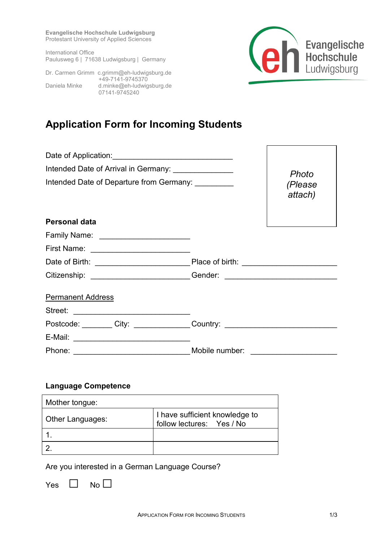**Evangelische Hochschule Ludwigsburg** Protestant University of Applied Sciences

International Office Paulusweg 6 | 71638 Ludwigsburg | Germany



Dr. Carmen Grimm c.grimm@eh-ludwigsburg.de +49-7141-9745370 Daniela Minke d.minke@eh-ludwigsburg.de 07141-9745240

# **Application Form for Incoming Students**

| Intended Date of Arrival in Germany: _______________ | Photo                                                                            |
|------------------------------------------------------|----------------------------------------------------------------------------------|
| Intended Date of Departure from Germany: ________    | (Please<br>attach)                                                               |
| <b>Personal data</b>                                 |                                                                                  |
| Family Name: _________________________               |                                                                                  |
| First Name: <u>________________________</u>          |                                                                                  |
|                                                      |                                                                                  |
|                                                      | Citizenship: __________________________Gender: _________________________________ |
| <b>Permanent Address</b>                             |                                                                                  |
|                                                      |                                                                                  |
|                                                      | Postcode: ________ City: _______________Country: _______________________________ |
|                                                      |                                                                                  |
|                                                      |                                                                                  |

#### **Language Competence**

| Mother tongue:   |                                                             |
|------------------|-------------------------------------------------------------|
| Other Languages: | I have sufficient knowledge to<br>follow lectures: Yes / No |
|                  |                                                             |
|                  |                                                             |

Are you interested in a German Language Course?

 $Yes \Box No \Box$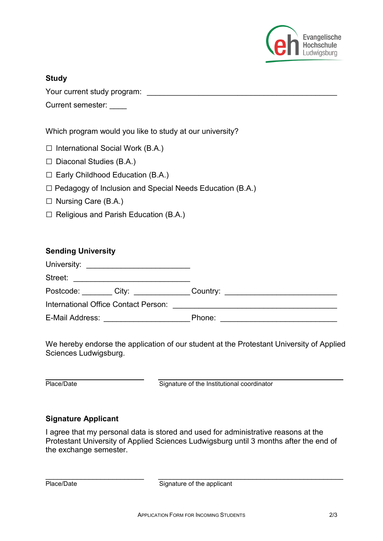

## **Study**

Your current study program:  $\blacksquare$ 

Current semester:

Which program would you like to study at our university?

- $\square$  International Social Work (B.A.)
- $\square$  [Diaconal Studies \(B.A.\)](https://www.eh-ludwigsburg.de/de/studium/studienangebot/bachelorstudiengaenge/diakoniewissenschaft-ba-soziale-arbeit-ba/)
- $\square$  [Early Childhood Education \(B.A.\)](https://www.eh-ludwigsburg.de/de/studium/studienangebot/bachelorstudiengaenge/fruehkindliche-bildung-erziehung-ba/)
- $\square$  [Pedagogy of Inclusion and Special Needs Education \(B.A.\)](https://www.eh-ludwigsburg.de/de/studium/studienangebot/bachelorstudiengaenge/inklusive-paedagogik-heilpaedagogik-ba/)
- □ [Nursing Care \(B.A.\)](https://www.eh-ludwigsburg.de/de/studium/studienangebot/bachelorstudiengaenge/pflege-ausbildungsintegriert-ba/)
- $\Box$  [Religious and Parish Education \(B.A.\)](https://www.eh-ludwigsburg.de/de/studium/studienangebot/bachelorstudiengaenge/religions-und-gemeindepaedagogik-ba-soziale-arbeit-ba/)

## **Sending University**

| Street:                              |        |
|--------------------------------------|--------|
| Postcode: ______City: ____________   |        |
| International Office Contact Person: |        |
| E-Mail Address:                      | Phone: |

We hereby endorse the application of our student at the Protestant University of Applied Sciences Ludwigsburg.

\_\_\_\_\_\_\_\_\_\_\_\_\_\_\_\_\_\_\_\_\_\_\_\_\_ \_\_\_\_\_\_\_\_\_\_\_\_\_\_\_\_\_\_\_\_\_\_\_\_\_\_\_\_\_\_\_\_\_\_\_\_\_\_\_\_\_\_\_\_\_\_\_ Place/Date Signature of the Institutional coordinator

#### **Signature Applicant**

I agree that my personal data is stored and used for administrative reasons at the Protestant University of Applied Sciences Ludwigsburg until 3 months after the end of the exchange semester.

| Place/Date |  |
|------------|--|
|------------|--|

\_\_\_\_\_\_\_\_\_\_\_\_\_\_\_\_\_\_\_\_\_\_\_\_\_ \_\_\_\_\_\_\_\_\_\_\_\_\_\_\_\_\_\_\_\_\_\_\_\_\_\_\_\_\_\_\_\_\_\_\_\_\_\_\_\_\_\_\_\_\_\_\_ **Signature of the applicant**